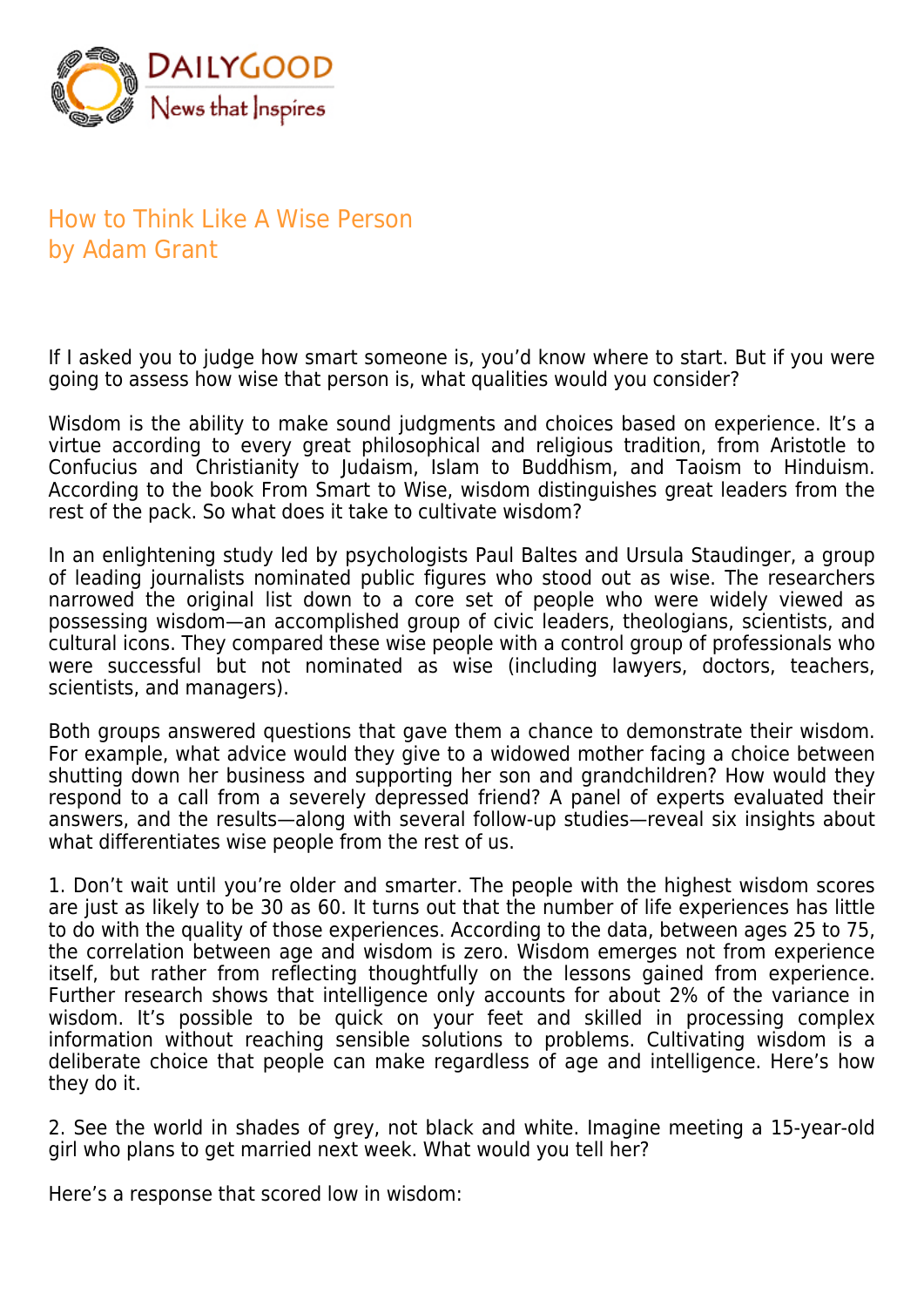

## How to Think Like A Wise Person by Adam Grant

If I asked you to judge how smart someone is, you'd know where to start. But if you were going to assess how wise that person is, what qualities would you consider?

Wisdom is the ability to make sound judgments and choices based on experience. It's a virtue according to every great philosophical and religious tradition, from Aristotle to Confucius and Christianity to Judaism, Islam to Buddhism, and Taoism to Hinduism. According to the book From Smart to Wise, wisdom distinguishes great leaders from the rest of the pack. So what does it take to cultivate wisdom?

In an enlightening study led by psychologists Paul Baltes and Ursula Staudinger, a group of leading journalists nominated public figures who stood out as wise. The researchers narrowed the original list down to a core set of people who were widely viewed as possessing wisdom—an accomplished group of civic leaders, theologians, scientists, and cultural icons. They compared these wise people with a control group of professionals who were successful but not nominated as wise (including lawyers, doctors, teachers, scientists, and managers).

Both groups answered questions that gave them a chance to demonstrate their wisdom. For example, what advice would they give to a widowed mother facing a choice between shutting down her business and supporting her son and grandchildren? How would they respond to a call from a severely depressed friend? A panel of experts evaluated their answers, and the results—along with several follow-up studies—reveal six insights about what differentiates wise people from the rest of us.

1. Don't wait until you're older and smarter. The people with the highest wisdom scores are just as likely to be 30 as 60. It turns out that the number of life experiences has little to do with the quality of those experiences. According to the data, between ages 25 to 75, the correlation between age and wisdom is zero. Wisdom emerges not from experience itself, but rather from reflecting thoughtfully on the lessons gained from experience. Further research shows that intelligence only accounts for about 2% of the variance in wisdom. It's possible to be quick on your feet and skilled in processing complex information without reaching sensible solutions to problems. Cultivating wisdom is a deliberate choice that people can make regardless of age and intelligence. Here's how they do it.

2. See the world in shades of grey, not black and white. Imagine meeting a 15-year-old girl who plans to get married next week. What would you tell her?

Here's a response that scored low in wisdom: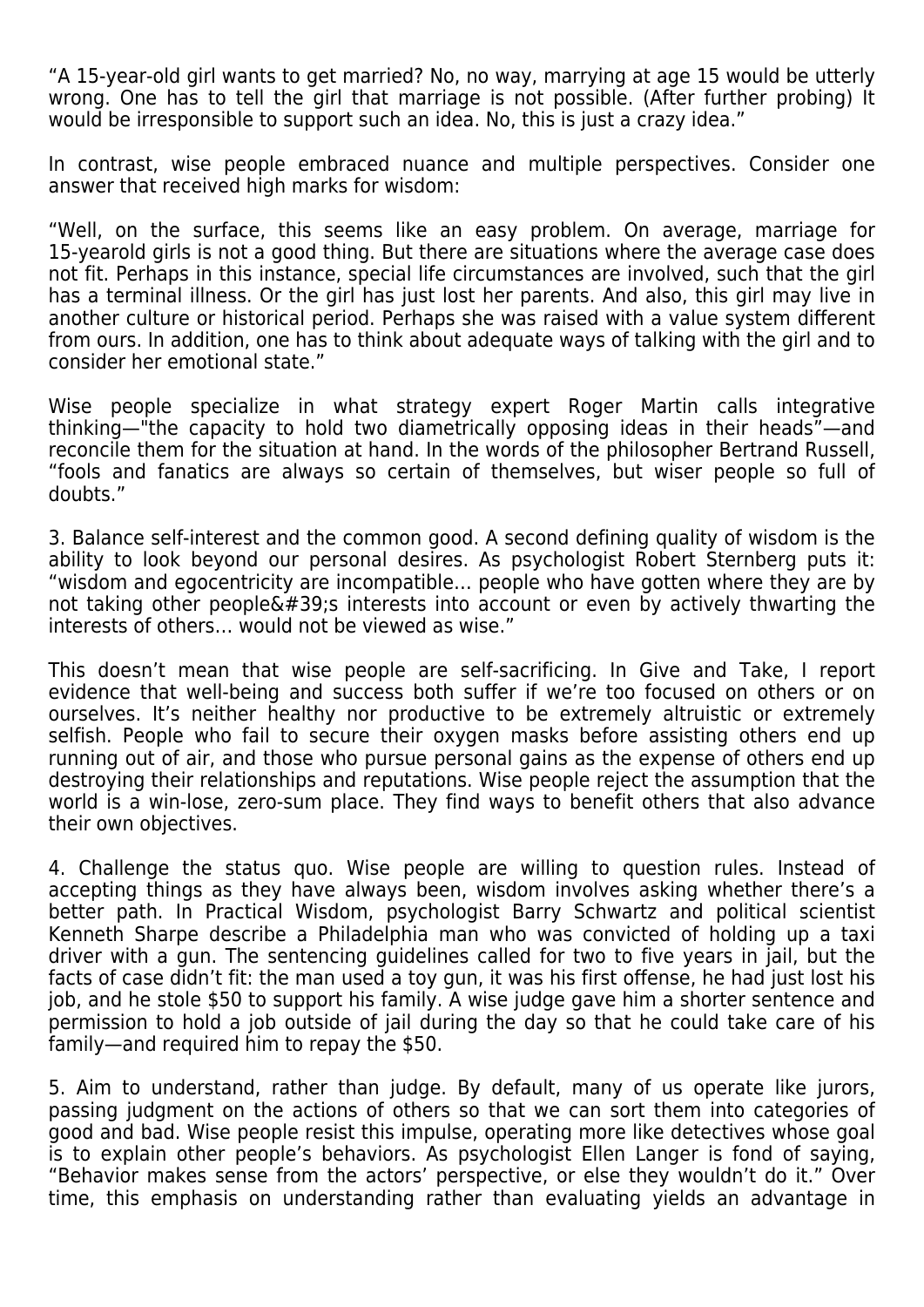"A 15-year-old girl wants to get married? No, no way, marrying at age 15 would be utterly wrong. One has to tell the girl that marriage is not possible. (After further probing) It would be irresponsible to support such an idea. No, this is just a crazy idea."

In contrast, wise people embraced nuance and multiple perspectives. Consider one answer that received high marks for wisdom:

"Well, on the surface, this seems like an easy problem. On average, marriage for 15-yearold girls is not a good thing. But there are situations where the average case does not fit. Perhaps in this instance, special life circumstances are involved, such that the girl has a terminal illness. Or the girl has just lost her parents. And also, this girl may live in another culture or historical period. Perhaps she was raised with a value system different from ours. In addition, one has to think about adequate ways of talking with the girl and to consider her emotional state."

Wise people specialize in what strategy expert Roger Martin calls integrative thinking—"the capacity to hold two diametrically opposing ideas in their heads"—and reconcile them for the situation at hand. In the words of the philosopher Bertrand Russell, "fools and fanatics are always so certain of themselves, but wiser people so full of doubts."

3. Balance self-interest and the common good. A second defining quality of wisdom is the ability to look beyond our personal desires. As psychologist Robert Sternberg puts it: "wisdom and egocentricity are incompatible… people who have gotten where they are by not taking other people $\&\#39$ ; interests into account or even by actively thwarting the interests of others… would not be viewed as wise."

This doesn't mean that wise people are self-sacrificing. In Give and Take, I report evidence that well-being and success both suffer if we're too focused on others or on ourselves. It's neither healthy nor productive to be extremely altruistic or extremely selfish. People who fail to secure their oxygen masks before assisting others end up running out of air, and those who pursue personal gains as the expense of others end up destroying their relationships and reputations. Wise people reject the assumption that the world is a win-lose, zero-sum place. They find ways to benefit others that also advance their own objectives.

4. Challenge the status quo. Wise people are willing to question rules. Instead of accepting things as they have always been, wisdom involves asking whether there's a better path. In Practical Wisdom, psychologist Barry Schwartz and political scientist Kenneth Sharpe describe a Philadelphia man who was convicted of holding up a taxi driver with a gun. The sentencing guidelines called for two to five years in jail, but the facts of case didn't fit: the man used a toy gun, it was his first offense, he had just lost his job, and he stole \$50 to support his family. A wise judge gave him a shorter sentence and permission to hold a job outside of jail during the day so that he could take care of his family—and required him to repay the \$50.

5. Aim to understand, rather than judge. By default, many of us operate like jurors, passing judgment on the actions of others so that we can sort them into categories of good and bad. Wise people resist this impulse, operating more like detectives whose goal is to explain other people's behaviors. As psychologist Ellen Langer is fond of saying, "Behavior makes sense from the actors' perspective, or else they wouldn't do it." Over time, this emphasis on understanding rather than evaluating yields an advantage in